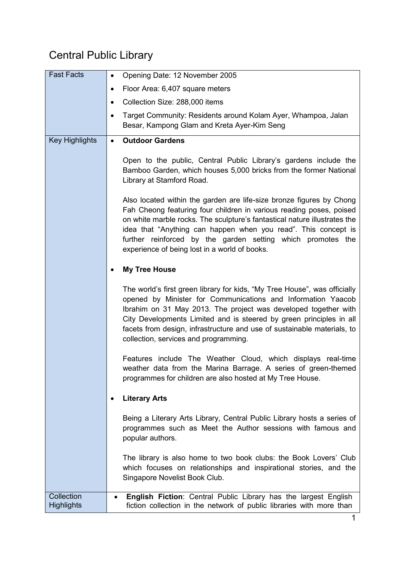## Central Public Library

| <b>Fast Facts</b>               | Opening Date: 12 November 2005<br>$\bullet$                                                                                                                                                                                                                                                                                                                                                                |
|---------------------------------|------------------------------------------------------------------------------------------------------------------------------------------------------------------------------------------------------------------------------------------------------------------------------------------------------------------------------------------------------------------------------------------------------------|
|                                 | Floor Area: 6,407 square meters<br>٠                                                                                                                                                                                                                                                                                                                                                                       |
|                                 | Collection Size: 288,000 items<br>$\bullet$                                                                                                                                                                                                                                                                                                                                                                |
|                                 | Target Community: Residents around Kolam Ayer, Whampoa, Jalan<br>$\bullet$<br>Besar, Kampong Glam and Kreta Ayer-Kim Seng                                                                                                                                                                                                                                                                                  |
| <b>Key Highlights</b>           | <b>Outdoor Gardens</b><br>$\bullet$                                                                                                                                                                                                                                                                                                                                                                        |
|                                 | Open to the public, Central Public Library's gardens include the<br>Bamboo Garden, which houses 5,000 bricks from the former National<br>Library at Stamford Road.                                                                                                                                                                                                                                         |
|                                 | Also located within the garden are life-size bronze figures by Chong<br>Fah Cheong featuring four children in various reading poses, poised<br>on white marble rocks. The sculpture's fantastical nature illustrates the<br>idea that "Anything can happen when you read". This concept is<br>further reinforced by the garden setting which promotes the<br>experience of being lost in a world of books. |
|                                 | <b>My Tree House</b>                                                                                                                                                                                                                                                                                                                                                                                       |
|                                 | The world's first green library for kids, "My Tree House", was officially<br>opened by Minister for Communications and Information Yaacob<br>Ibrahim on 31 May 2013. The project was developed together with<br>City Developments Limited and is steered by green principles in all<br>facets from design, infrastructure and use of sustainable materials, to<br>collection, services and programming.    |
|                                 | Features include The Weather Cloud, which displays real-time<br>weather data from the Marina Barrage. A series of green-themed<br>programmes for children are also hosted at My Tree House.                                                                                                                                                                                                                |
|                                 | <b>Literary Arts</b>                                                                                                                                                                                                                                                                                                                                                                                       |
|                                 | Being a Literary Arts Library, Central Public Library hosts a series of<br>programmes such as Meet the Author sessions with famous and<br>popular authors.                                                                                                                                                                                                                                                 |
|                                 | The library is also home to two book clubs: the Book Lovers' Club<br>which focuses on relationships and inspirational stories, and the<br>Singapore Novelist Book Club.                                                                                                                                                                                                                                    |
| Collection<br><b>Highlights</b> | English Fiction: Central Public Library has the largest English<br>٠<br>fiction collection in the network of public libraries with more than                                                                                                                                                                                                                                                               |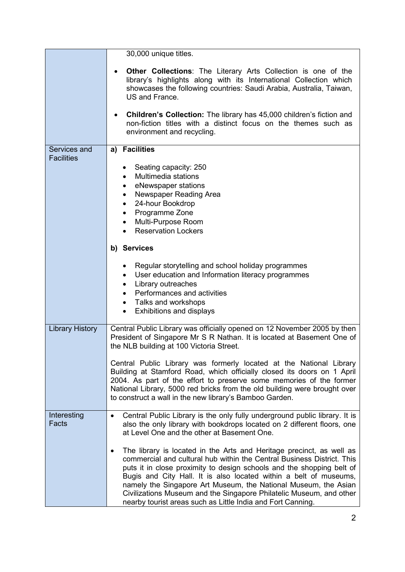|                                   | 30,000 unique titles.                                                                                                                                                                                                                                                                                                                                                                                                                                                                                 |
|-----------------------------------|-------------------------------------------------------------------------------------------------------------------------------------------------------------------------------------------------------------------------------------------------------------------------------------------------------------------------------------------------------------------------------------------------------------------------------------------------------------------------------------------------------|
|                                   | Other Collections: The Literary Arts Collection is one of the<br>$\bullet$<br>library's highlights along with its International Collection which<br>showcases the following countries: Saudi Arabia, Australia, Taiwan,<br>US and France.                                                                                                                                                                                                                                                             |
|                                   | <b>Children's Collection:</b> The library has 45,000 children's fiction and<br>$\bullet$<br>non-fiction titles with a distinct focus on the themes such as<br>environment and recycling.                                                                                                                                                                                                                                                                                                              |
| Services and<br><b>Facilities</b> | <b>Facilities</b><br>a)                                                                                                                                                                                                                                                                                                                                                                                                                                                                               |
|                                   | Seating capacity: 250<br>Multimedia stations<br>$\bullet$<br>eNewspaper stations<br>٠<br>Newspaper Reading Area<br>$\bullet$<br>24-hour Bookdrop<br>٠<br>Programme Zone<br>$\bullet$<br>Multi-Purpose Room<br>$\bullet$<br><b>Reservation Lockers</b>                                                                                                                                                                                                                                                 |
|                                   | b) Services                                                                                                                                                                                                                                                                                                                                                                                                                                                                                           |
|                                   | Regular storytelling and school holiday programmes<br>User education and Information literacy programmes<br>٠<br>Library outreaches<br>$\bullet$<br>Performances and activities<br>$\bullet$<br>Talks and workshops<br>$\bullet$<br>Exhibitions and displays<br>$\bullet$                                                                                                                                                                                                                             |
| <b>Library History</b>            | Central Public Library was officially opened on 12 November 2005 by then<br>President of Singapore Mr S R Nathan. It is located at Basement One of<br>the NLB building at 100 Victoria Street.                                                                                                                                                                                                                                                                                                        |
|                                   | Central Public Library was formerly located at the National Library<br>Building at Stamford Road, which officially closed its doors on 1 April<br>2004. As part of the effort to preserve some memories of the former<br>National Library, 5000 red bricks from the old building were brought over<br>to construct a wall in the new library's Bamboo Garden.                                                                                                                                         |
| Interesting<br>Facts              | Central Public Library is the only fully underground public library. It is<br>$\bullet$<br>also the only library with bookdrops located on 2 different floors, one<br>at Level One and the other at Basement One.                                                                                                                                                                                                                                                                                     |
|                                   | The library is located in the Arts and Heritage precinct, as well as<br>commercial and cultural hub within the Central Business District. This<br>puts it in close proximity to design schools and the shopping belt of<br>Bugis and City Hall. It is also located within a belt of museums,<br>namely the Singapore Art Museum, the National Museum, the Asian<br>Civilizations Museum and the Singapore Philatelic Museum, and other<br>nearby tourist areas such as Little India and Fort Canning. |